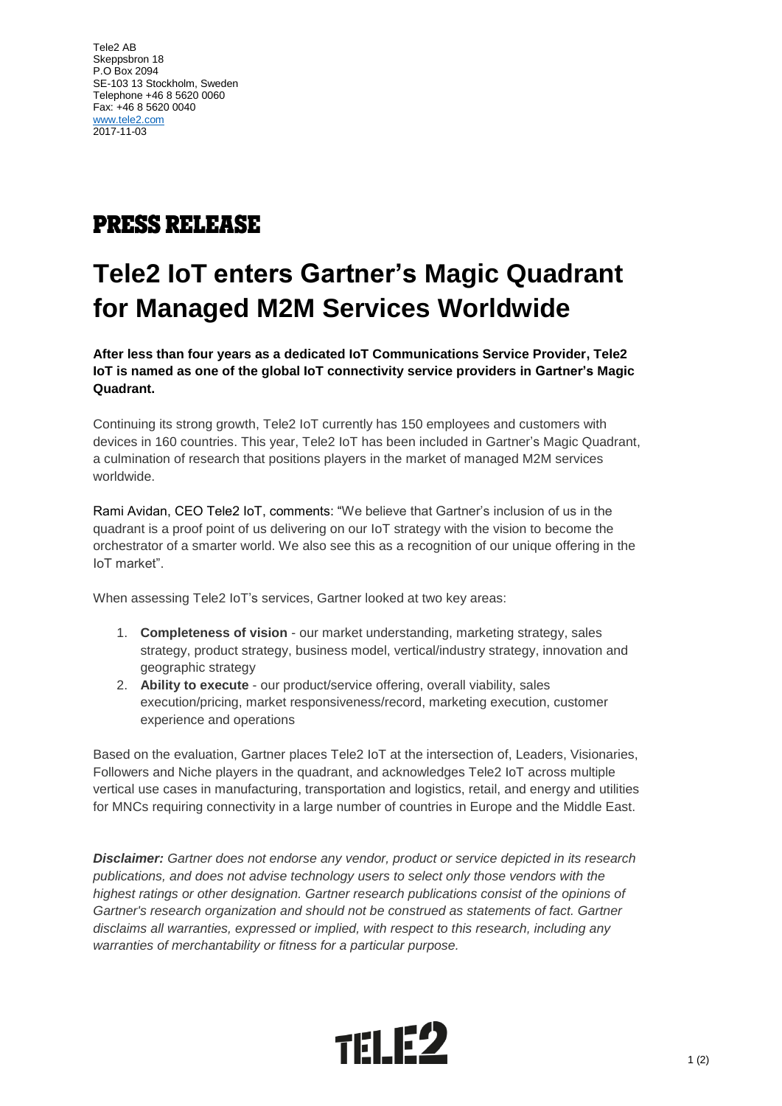## **PRESS RELEASE**

## **Tele2 IoT enters Gartner's Magic Quadrant for Managed M2M Services Worldwide**

**After less than four years as a dedicated IoT Communications Service Provider, Tele2 IoT is named as one of the global IoT connectivity service providers in Gartner's Magic Quadrant.** 

Continuing its strong growth, Tele2 IoT currently has 150 employees and customers with devices in 160 countries. This year, Tele2 IoT has been included in Gartner's Magic Quadrant, a culmination of research that positions players in the market of managed M2M services worldwide.

Rami Avidan, CEO Tele2 IoT, comments: "We believe that Gartner's inclusion of us in the quadrant is a proof point of us delivering on our IoT strategy with the vision to become the orchestrator of a smarter world. We also see this as a recognition of our unique offering in the IoT market".

When assessing Tele2 IoT's services, Gartner looked at two key areas:

- 1. **Completeness of vision** our market understanding, marketing strategy, sales strategy, product strategy, business model, vertical/industry strategy, innovation and geographic strategy
- 2. **Ability to execute** our product/service offering, overall viability, sales execution/pricing, market responsiveness/record, marketing execution, customer experience and operations

Based on the evaluation, Gartner places Tele2 IoT at the intersection of, Leaders, Visionaries, Followers and Niche players in the quadrant, and acknowledges Tele2 IoT across multiple vertical use cases in manufacturing, transportation and logistics, retail, and energy and utilities for MNCs requiring connectivity in a large number of countries in Europe and the Middle East.

*Disclaimer: Gartner does not endorse any vendor, product or service depicted in its research publications, and does not advise technology users to select only those vendors with the*  highest ratings or other designation. Gartner research publications consist of the opinions of Gartner's research organization and should not be construed as statements of fact. Gartner *disclaims all warranties, expressed or implied, with respect to this research, including any warranties of merchantability or fitness for a particular purpose.*